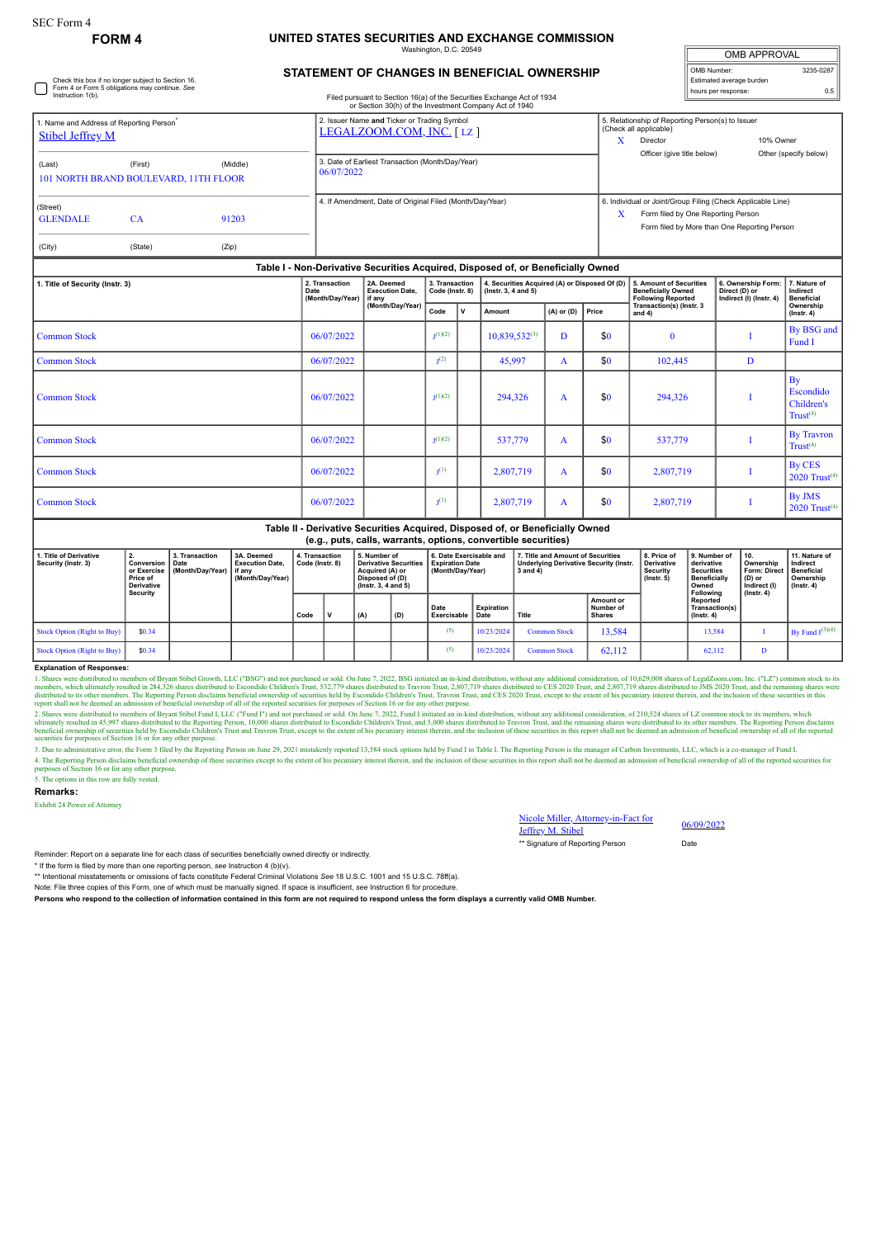Check this box if no longer subject to Section 16. Form 4 or Form 5 obligations may continue. *See* Instruction 1(b).

# **FORM 4 UNITED STATES SECURITIES AND EXCHANGE COMMISSION**

Washington, D.C. 20549

| <b>OMB APPROVAL</b>      |           |  |  |  |  |  |  |
|--------------------------|-----------|--|--|--|--|--|--|
| OMB Number:              | 3235-0287 |  |  |  |  |  |  |
| Estimated average burden |           |  |  |  |  |  |  |
| hours per response:      | 0.5       |  |  |  |  |  |  |

## **STATEMENT OF CHANGES IN BENEFICIAL OWNERSHIP**

Filed pursuant to Section 16(a) of the Securities Exchange Act of 1934 or Section 30(h) of the Investment Company Act of 1940

|                                                                                 |           |       | or Section 30(h) of the Investment Company Act of 1940                  |                                                                                                                                                            |
|---------------------------------------------------------------------------------|-----------|-------|-------------------------------------------------------------------------|------------------------------------------------------------------------------------------------------------------------------------------------------------|
| 1. Name and Address of Reporting Person <sup>*</sup><br><b>Stibel Jeffrey M</b> |           |       | 2. Issuer Name and Ticker or Trading Symbol<br>LEGALZOOM.COM, INC. [LZ] | 5. Relationship of Reporting Person(s) to Issuer<br>(Check all applicable)<br>10% Owner<br>Director<br>Officer (give title below)<br>Other (specify below) |
| (Middle)<br>(First)<br>(Last)<br>101 NORTH BRAND BOULEVARD, 11TH FLOOR          |           |       | 3. Date of Earliest Transaction (Month/Day/Year)<br>06/07/2022          |                                                                                                                                                            |
| (Street)<br><b>GLENDALE</b>                                                     | <b>CA</b> | 91203 | 4. If Amendment, Date of Original Filed (Month/Day/Year)                | 6. Individual or Joint/Group Filing (Check Applicable Line)<br>Form filed by One Reporting Person<br>X<br>Form filed by More than One Reporting Person     |
| (City)                                                                          | (State)   | (Zip) |                                                                         |                                                                                                                                                            |

## **Table I - Non-Derivative Securities Acquired, Disposed of, or Beneficially Owned**

| 1. Title of Security (Instr. 3) | 2. Transaction<br>Date<br>(Month/Day/Year) | 2A. Deemed<br><b>Execution Date.</b><br>if any<br>(Month/Day/Year) | 3. Transaction<br>Code (Instr. 8) |  | 4. Securities Acquired (A) or Disposed Of (D)<br>(Instr. 3, 4 and 5) |                         |     | 5. Amount of Securities<br><b>Beneficially Owned</b><br><b>Following Reported</b> | 6. Ownership Form:<br>Direct (D) or<br>Indirect (I) (Instr. 4) | 7. Nature of<br>Indirect<br><b>Beneficial</b>         |
|---------------------------------|--------------------------------------------|--------------------------------------------------------------------|-----------------------------------|--|----------------------------------------------------------------------|-------------------------|-----|-----------------------------------------------------------------------------------|----------------------------------------------------------------|-------------------------------------------------------|
|                                 |                                            |                                                                    | $\mathbf{v}$<br>Code              |  | Amount                                                               | Price<br>$(A)$ or $(D)$ |     | Transaction(s) (Instr. 3<br>and $4)$                                              |                                                                | Ownership<br>$($ lnstr. 4 $)$                         |
| <b>Common Stock</b>             | 06/07/2022                                 |                                                                    | $_1(1)(2)$                        |  | $10,839,532^{(3)}$                                                   | D                       | \$0 | $\mathbf{0}$                                                                      |                                                                | By BSG and<br>Fund I                                  |
| <b>Common Stock</b>             | 06/07/2022                                 |                                                                    | $1(2)$                            |  | 45,997                                                               | A                       | \$0 | 102,445                                                                           | $\mathbf{D}$                                                   |                                                       |
| <b>Common Stock</b>             | 06/07/2022                                 |                                                                    | $_1(1)(2)$                        |  | 294.326                                                              | A                       | \$0 | 294,326                                                                           |                                                                | By<br>Escondido<br>Children's<br>Trust <sup>(4)</sup> |
| <b>Common Stock</b>             | 06/07/2022                                 |                                                                    | $_1(1)(2)$                        |  | 537,779                                                              | A                       | \$0 | 537,779                                                                           |                                                                | <b>By Travron</b><br>Trust <sup>(4)</sup>             |
| <b>Common Stock</b>             | 06/07/2022                                 |                                                                    | $T(1)$                            |  | 2,807,719                                                            | A                       | \$0 | 2,807,719                                                                         |                                                                | <b>By CES</b><br>2020 $Trust^{(4)}$                   |
| <b>Common Stock</b>             | 06/07/2022                                 |                                                                    | $T(1)$                            |  | 2,807,719                                                            | A                       | \$0 | 2,807,719                                                                         |                                                                | By JMS<br>$2020$ Trust <sup>(4)</sup>                 |

#### **Table II - Derivative Securities Acquired, Disposed of, or Beneficially Owned (e.g., puts, calls, warrants, options, convertible securities)**

| 1. Title of Derivative<br>Security (Instr. 3) | $\epsilon$ .<br>or Exercise<br>Price of<br><b>Derivative</b><br>Security | 3. Transaction<br><b>Conversion   Date</b><br>(Month/Dav/Year) | 3A. Deemed<br><b>Execution Date.</b><br>if anv<br>(Month/Day/Year) | 4. Transaction<br>Code (Instr. 8) |  | 5. Number of<br><b>Derivative Securities</b><br>Acquired (A) or<br>Disposed of (D)<br>$($ lnstr. 3. 4 and 5 $)$ |     | 6. Date Exercisable and<br><b>Expiration Date</b><br>(Month/Dav/Year) |                           | 7. Title and Amount of Securities<br><b>Underlying Derivative Security (Instr.</b><br>3 and 4) |                                                | 8. Price of<br><b>Derivative</b><br><b>Security</b><br>$($ lnstr. 5 $)$ | 9. Number of<br>derivative<br><b>Securities</b><br><b>Beneficially</b><br>Owned<br>Following | 10.<br>Ownership<br><b>Form: Direct</b><br>(D) or<br>Indirect (I)<br>$($ lnstr. 4 $)$ | 11. Nature of<br>Indirect<br><b>Beneficial</b><br>Ownership<br>$($ lnstr. 4 $)$ |
|-----------------------------------------------|--------------------------------------------------------------------------|----------------------------------------------------------------|--------------------------------------------------------------------|-----------------------------------|--|-----------------------------------------------------------------------------------------------------------------|-----|-----------------------------------------------------------------------|---------------------------|------------------------------------------------------------------------------------------------|------------------------------------------------|-------------------------------------------------------------------------|----------------------------------------------------------------------------------------------|---------------------------------------------------------------------------------------|---------------------------------------------------------------------------------|
|                                               |                                                                          |                                                                |                                                                    | Code                              |  | ່ (A)                                                                                                           | (D) | Date<br>Exercisable                                                   | <b>Expiration</b><br>Date | Title                                                                                          | <b>Amount or</b><br>Number of<br><b>Shares</b> |                                                                         | Reported<br>Transaction(s)<br>$($ lnstr. 4 $)$                                               |                                                                                       |                                                                                 |
| Stock Option (Right to Buy)                   | \$0.34                                                                   |                                                                |                                                                    |                                   |  |                                                                                                                 |     | (5)                                                                   | 10/23/2024                | <b>Common Stock</b>                                                                            | 13,584                                         |                                                                         | 13.584                                                                                       |                                                                                       | By Fund $I^{(3)(4)}$                                                            |
| Stock Option (Right to Buy)                   | \$0.34                                                                   |                                                                |                                                                    |                                   |  |                                                                                                                 |     | (5)                                                                   | 10/23/2024                | <b>Common Stock</b>                                                                            | 62.112                                         |                                                                         | 62.112                                                                                       | D                                                                                     |                                                                                 |

### **Explanation of Responses:**

1. Shares were distributed to members of Bryant Stibel Growth, LLC ("BSG") and not purchased or sold. On June 7, 2022, BSG initiated an in-kind distribution, without any additional consideration, of 10,629,008 shares of Le

2. Shares were distributed to members of Bryant Stibel Fund I, LLC ("Fund I") and not purchased or sold. On June 7, 2022, Fund I initiated an in-kind distribution, without any additional consideration, of 210,524 shares of

3. Due to administrative error, the Form 3 filed by the Reporting Person on June 29, 2021 mistakenly reported 13,584 stock options held by Fund I in Table I. The Reporting Person is the manager of Carbon Investments, L.L.C 4. The Reporting Preson disclaims beneficial ownership of these securities except to the extent of his pecuniary interest therein, and the inclusion of these securities in this report shall not be deemed an admission of be

5. The options in this row are fully vested.

#### **Remarks:**

Exhibit 24 Power of Attorney

Nicole Miller, Attorney-in-Fact for<br>Jeffrey M. Stibel 06/09/2022

\*\* Signature of Reporting Person **Date** 

Reminder: Report on a separate line for each class of securities beneficially owned directly or indirectly. \* If the form is filed by more than one reporting person, *see* Instruction 4 (b)(v).

\*\* Intentional misstatements or omissions of facts constitute Federal Criminal Violations *See* 18 U.S.C. 1001 and 15 U.S.C. 78ff(a).

Note: File three copies of this Form, one of which must be manually signed. If space is insufficient, *see* Instruction 6 for procedure.

**Persons who respond to the collection of information contained in this form are not required to respond unless the form displays a currently valid OMB Number.**